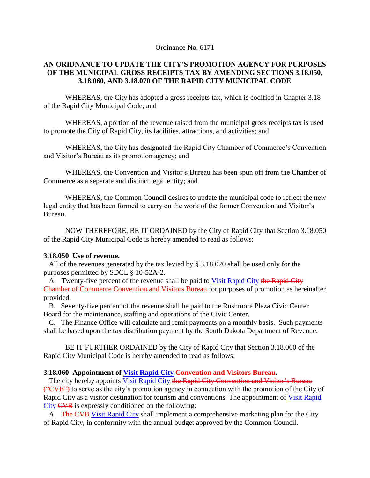Ordinance No. 6171

## **AN ORIDNANCE TO UPDATE THE CITY'S PROMOTION AGENCY FOR PURPOSES OF THE MUNICIPAL GROSS RECEIPTS TAX BY AMENDING SECTIONS 3.18.050, 3.18.060, AND 3.18.070 OF THE RAPID CITY MUNICIPAL CODE**

WHEREAS, the City has adopted a gross receipts tax, which is codified in Chapter 3.18 of the Rapid City Municipal Code; and

WHEREAS, a portion of the revenue raised from the municipal gross receipts tax is used to promote the City of Rapid City, its facilities, attractions, and activities; and

WHEREAS, the City has designated the Rapid City Chamber of Commerce's Convention and Visitor's Bureau as its promotion agency; and

WHEREAS, the Convention and Visitor's Bureau has been spun off from the Chamber of Commerce as a separate and distinct legal entity; and

WHEREAS, the Common Council desires to update the municipal code to reflect the new legal entity that has been formed to carry on the work of the former Convention and Visitor's Bureau.

NOW THEREFORE, BE IT ORDAINED by the City of Rapid City that Section 3.18.050 of the Rapid City Municipal Code is hereby amended to read as follows:

## **3.18.050 Use of revenue.**

 All of the revenues generated by the tax levied by § 3.18.020 shall be used only for the purposes permitted by SDCL § 10-52A-2.

A. Twenty-five percent of the revenue shall be paid to Visit Rapid City the Rapid City Chamber of Commerce Convention and Visitors Bureau for purposes of promotion as hereinafter provided.

 B. Seventy-five percent of the revenue shall be paid to the Rushmore Plaza Civic Center Board for the maintenance, staffing and operations of the Civic Center.

 C. The Finance Office will calculate and remit payments on a monthly basis. Such payments shall be based upon the tax distribution payment by the South Dakota Department of Revenue.

BE IT FURTHER ORDAINED by the City of Rapid City that Section 3.18.060 of the Rapid City Municipal Code is hereby amended to read as follows:

## **3.18.060 Appointment of Visit Rapid City Convention and Visitors Bureau.**

The city hereby appoints Visit Rapid City the Rapid City Convention and Visitor's Bureau ("CVB") to serve as the city's promotion agency in connection with the promotion of the City of Rapid City as a visitor destination for tourism and conventions. The appointment of Visit Rapid City CVB is expressly conditioned on the following:

A. The CVB Visit Rapid City shall implement a comprehensive marketing plan for the City of Rapid City, in conformity with the annual budget approved by the Common Council.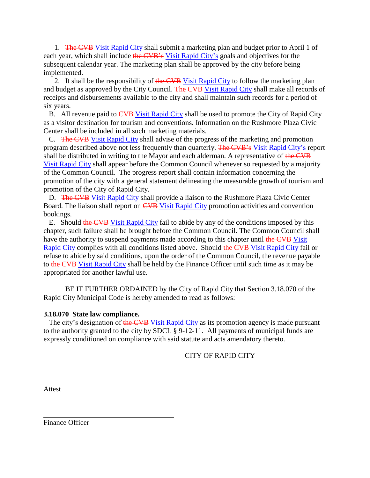1. The CVB Visit Rapid City shall submit a marketing plan and budget prior to April 1 of each year, which shall include the CVB's Visit Rapid City's goals and objectives for the subsequent calendar year. The marketing plan shall be approved by the city before being implemented.

2. It shall be the responsibility of the CVB Visit Rapid City to follow the marketing plan and budget as approved by the City Council. The CVB Visit Rapid City shall make all records of receipts and disbursements available to the city and shall maintain such records for a period of six years.

B. All revenue paid to CVB Visit Rapid City shall be used to promote the City of Rapid City as a visitor destination for tourism and conventions. Information on the Rushmore Plaza Civic Center shall be included in all such marketing materials.

 C. The CVB Visit Rapid City shall advise of the progress of the marketing and promotion program described above not less frequently than quarterly. The CVB's Visit Rapid City's report shall be distributed in writing to the Mayor and each alderman. A representative of the CVB Visit Rapid City shall appear before the Common Council whenever so requested by a majority of the Common Council. The progress report shall contain information concerning the promotion of the city with a general statement delineating the measurable growth of tourism and promotion of the City of Rapid City.

D. The CVB Visit Rapid City shall provide a liaison to the Rushmore Plaza Civic Center Board. The liaison shall report on CVB Visit Rapid City promotion activities and convention bookings.

 E. Should the CVB Visit Rapid City fail to abide by any of the conditions imposed by this chapter, such failure shall be brought before the Common Council. The Common Council shall have the authority to suspend payments made according to this chapter until the CVB Visit Rapid City complies with all conditions listed above. Should the CVB Visit Rapid City fail or refuse to abide by said conditions, upon the order of the Common Council, the revenue payable to the CVB Visit Rapid City shall be held by the Finance Officer until such time as it may be appropriated for another lawful use.

BE IT FURTHER ORDAINED by the City of Rapid City that Section 3.18.070 of the Rapid City Municipal Code is hereby amended to read as follows:

## **3.18.070 State law compliance.**

The city's designation of the CVB Visit Rapid City as its promotion agency is made pursuant to the authority granted to the city by SDCL § 9-12-11. All payments of municipal funds are expressly conditioned on compliance with said statute and acts amendatory thereto.

CITY OF RAPID CITY

Attest

Finance Officer